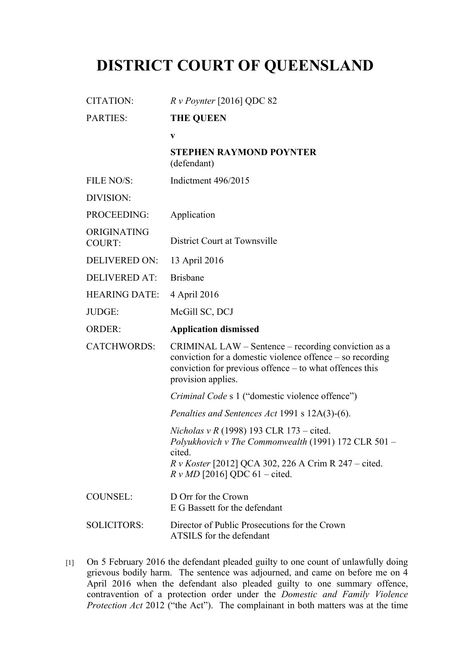## **DISTRICT COURT OF QUEENSLAND**

| <b>CITATION:</b>             | $Rv$ Poynter [2016] QDC 82                                                                                                                                                                                           |
|------------------------------|----------------------------------------------------------------------------------------------------------------------------------------------------------------------------------------------------------------------|
| <b>PARTIES:</b>              | <b>THE QUEEN</b>                                                                                                                                                                                                     |
|                              | $\mathbf{V}$                                                                                                                                                                                                         |
|                              | <b>STEPHEN RAYMOND POYNTER</b><br>(defendant)                                                                                                                                                                        |
| FILE NO/S:                   | Indictment 496/2015                                                                                                                                                                                                  |
| DIVISION:                    |                                                                                                                                                                                                                      |
| PROCEEDING:                  | Application                                                                                                                                                                                                          |
| ORIGINATING<br><b>COURT:</b> | District Court at Townsville                                                                                                                                                                                         |
| <b>DELIVERED ON:</b>         | 13 April 2016                                                                                                                                                                                                        |
| <b>DELIVERED AT:</b>         | <b>Brisbane</b>                                                                                                                                                                                                      |
| <b>HEARING DATE:</b>         | 4 April 2016                                                                                                                                                                                                         |
| JUDGE:                       | McGill SC, DCJ                                                                                                                                                                                                       |
| <b>ORDER:</b>                | <b>Application dismissed</b>                                                                                                                                                                                         |
| <b>CATCHWORDS:</b>           | CRIMINAL LAW – Sentence – recording conviction as a                                                                                                                                                                  |
|                              | conviction for a domestic violence offence – so recording<br>conviction for previous offence – to what offences this<br>provision applies.                                                                           |
|                              | Criminal Code s 1 ("domestic violence offence")                                                                                                                                                                      |
|                              | Penalties and Sentences Act 1991 s 12A(3)-(6).                                                                                                                                                                       |
|                              | <i>Nicholas v R</i> (1998) 193 CLR 173 – cited.<br>Polyukhovich v The Commonwealth (1991) 172 CLR 501 -<br>cited.<br><i>R v Koster</i> [2012] QCA 302, 226 A Crim R 247 – cited.<br>$R v M D$ [2016] QDC 61 – cited. |
| <b>COUNSEL:</b>              | D Orr for the Crown<br>E G Bassett for the defendant                                                                                                                                                                 |

[1] On 5 February 2016 the defendant pleaded guilty to one count of unlawfully doing grievous bodily harm. The sentence was adjourned, and came on before me on 4 April 2016 when the defendant also pleaded guilty to one summary offence, contravention of a protection order under the *Domestic and Family Violence Protection Act* 2012 ("the Act"). The complainant in both matters was at the time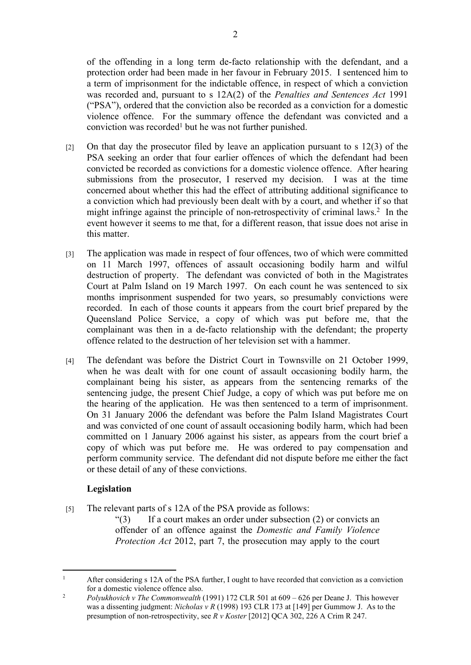of the offending in a long term de-facto relationship with the defendant, and a protection order had been made in her favour in February 2015. I sentenced him to a term of imprisonment for the indictable offence, in respect of which a conviction was recorded and, pursuant to s 12A(2) of the *Penalties and Sentences Act* 1991 ("PSA"), ordered that the conviction also be recorded as a conviction for a domestic violence offence. For the summary offence the defendant was convicted and a conviction was recorded<sup>1</sup> but he was not further punished.

- [2] On that day the prosecutor filed by leave an application pursuant to s 12(3) of the PSA seeking an order that four earlier offences of which the defendant had been convicted be recorded as convictions for a domestic violence offence. After hearing submissions from the prosecutor, I reserved my decision. I was at the time concerned about whether this had the effect of attributing additional significance to a conviction which had previously been dealt with by a court, and whether if so that might infringe against the principle of non-retrospectivity of criminal laws.<sup>2</sup> In the event however it seems to me that, for a different reason, that issue does not arise in this matter.
- [3] The application was made in respect of four offences, two of which were committed on 11 March 1997, offences of assault occasioning bodily harm and wilful destruction of property. The defendant was convicted of both in the Magistrates Court at Palm Island on 19 March 1997. On each count he was sentenced to six months imprisonment suspended for two years, so presumably convictions were recorded. In each of those counts it appears from the court brief prepared by the Queensland Police Service, a copy of which was put before me, that the complainant was then in a de-facto relationship with the defendant; the property offence related to the destruction of her television set with a hammer.
- [4] The defendant was before the District Court in Townsville on 21 October 1999, when he was dealt with for one count of assault occasioning bodily harm, the complainant being his sister, as appears from the sentencing remarks of the sentencing judge, the present Chief Judge, a copy of which was put before me on the hearing of the application. He was then sentenced to a term of imprisonment. On 31 January 2006 the defendant was before the Palm Island Magistrates Court and was convicted of one count of assault occasioning bodily harm, which had been committed on 1 January 2006 against his sister, as appears from the court brief a copy of which was put before me. He was ordered to pay compensation and perform community service. The defendant did not dispute before me either the fact or these detail of any of these convictions.

## **Legislation**

[5] The relevant parts of s 12A of the PSA provide as follows:

 $\lq(3)$  If a court makes an order under subsection (2) or convicts an offender of an offence against the *Domestic and Family Violence Protection Act* 2012, part 7, the prosecution may apply to the court

<sup>1</sup> After considering s 12A of the PSA further, I ought to have recorded that conviction as a conviction for a domestic violence offence also.

<sup>2</sup> *Polyukhovich v The Commonwealth* (1991) 172 CLR 501 at 609 – 626 per Deane J. This however was a dissenting judgment: *Nicholas v R* (1998) 193 CLR 173 at [149] per Gummow J. As to the presumption of non-retrospectivity, see *R v Koster* [2012] QCA 302, 226 A Crim R 247.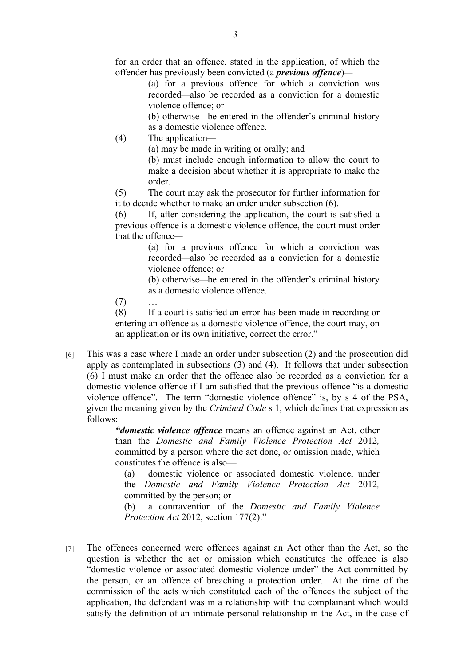for an order that an offence, stated in the application, of which the offender has previously been convicted (a *previous offence*)*—*

> (a) for a previous offence for which a conviction was recorded*—*also be recorded as a conviction for a domestic violence offence; or

> (b) otherwise*—*be entered in the offender's criminal history as a domestic violence offence.

(4) The application*—*

(a) may be made in writing or orally; and

(b) must include enough information to allow the court to make a decision about whether it is appropriate to make the order.

(5) The court may ask the prosecutor for further information for it to decide whether to make an order under subsection (6).

(6) If, after considering the application, the court is satisfied a previous offence is a domestic violence offence, the court must order that the offence*—*

> (a) for a previous offence for which a conviction was recorded*—*also be recorded as a conviction for a domestic violence offence; or

> (b) otherwise*—*be entered in the offender's criminal history as a domestic violence offence.

 $(7)$ 

(8) If a court is satisfied an error has been made in recording or entering an offence as a domestic violence offence, the court may, on an application or its own initiative, correct the error."

[6] This was a case where I made an order under subsection (2) and the prosecution did apply as contemplated in subsections (3) and (4). It follows that under subsection (6) I must make an order that the offence also be recorded as a conviction for a domestic violence offence if I am satisfied that the previous offence "is a domestic violence offence". The term "domestic violence offence" is, by s 4 of the PSA, given the meaning given by the *Criminal Code* s 1, which defines that expression as follows:

*"domestic violence offence* means an offence against an Act, other than the *Domestic and Family Violence Protection Act* 2012*,*  committed by a person where the act done, or omission made, which constitutes the offence is also—

(a) domestic violence or associated domestic violence, under the *Domestic and Family Violence Protection Act* 2012*,*  committed by the person; or

(b) a contravention of the *Domestic and Family Violence Protection Act* 2012, section 177(2)."

[7] The offences concerned were offences against an Act other than the Act, so the question is whether the act or omission which constitutes the offence is also "domestic violence or associated domestic violence under" the Act committed by the person, or an offence of breaching a protection order. At the time of the commission of the acts which constituted each of the offences the subject of the application, the defendant was in a relationship with the complainant which would satisfy the definition of an intimate personal relationship in the Act, in the case of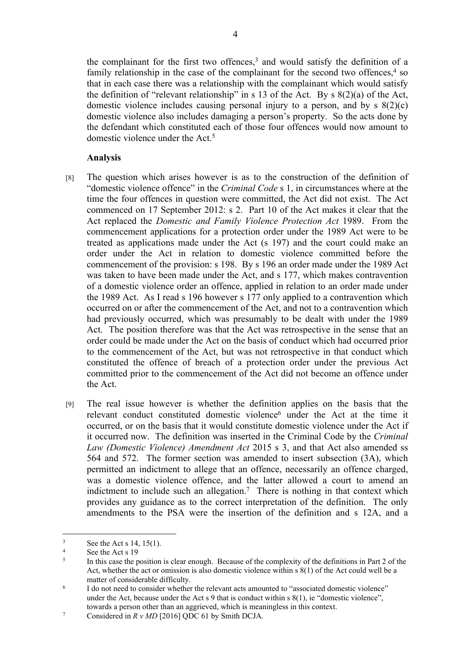the complainant for the first two offences,<sup>3</sup> and would satisfy the definition of a family relationship in the case of the complainant for the second two offences, $4$  so that in each case there was a relationship with the complainant which would satisfy the definition of "relevant relationship" in s 13 of the Act. By s 8(2)(a) of the Act, domestic violence includes causing personal injury to a person, and by s 8(2)(c) domestic violence also includes damaging a person's property. So the acts done by the defendant which constituted each of those four offences would now amount to domestic violence under the Act.<sup>5</sup>

## **Analysis**

- [8] The question which arises however is as to the construction of the definition of "domestic violence offence" in the *Criminal Code* s 1, in circumstances where at the time the four offences in question were committed, the Act did not exist. The Act commenced on 17 September 2012: s 2. Part 10 of the Act makes it clear that the Act replaced the *Domestic and Family Violence Protection Act* 1989. From the commencement applications for a protection order under the 1989 Act were to be treated as applications made under the Act (s 197) and the court could make an order under the Act in relation to domestic violence committed before the commencement of the provision: s 198. By s 196 an order made under the 1989 Act was taken to have been made under the Act, and s 177, which makes contravention of a domestic violence order an offence, applied in relation to an order made under the 1989 Act. As I read s 196 however s 177 only applied to a contravention which occurred on or after the commencement of the Act, and not to a contravention which had previously occurred, which was presumably to be dealt with under the 1989 Act. The position therefore was that the Act was retrospective in the sense that an order could be made under the Act on the basis of conduct which had occurred prior to the commencement of the Act, but was not retrospective in that conduct which constituted the offence of breach of a protection order under the previous Act committed prior to the commencement of the Act did not become an offence under the Act.
- [9] The real issue however is whether the definition applies on the basis that the relevant conduct constituted domestic violence<sup>6</sup> under the Act at the time it occurred, or on the basis that it would constitute domestic violence under the Act if it occurred now. The definition was inserted in the Criminal Code by the *Criminal Law (Domestic Violence) Amendment Act* 2015 s 3, and that Act also amended ss 564 and 572. The former section was amended to insert subsection (3A), which permitted an indictment to allege that an offence, necessarily an offence charged, was a domestic violence offence, and the latter allowed a court to amend an indictment to include such an allegation.<sup>7</sup> There is nothing in that context which provides any guidance as to the correct interpretation of the definition. The only amendments to the PSA were the insertion of the definition and s 12A, and a

<sup>3</sup> See the Act s 14, 15(1).

<sup>4</sup> See the Act s 19

<sup>5</sup> In this case the position is clear enough. Because of the complexity of the definitions in Part 2 of the Act, whether the act or omission is also domestic violence within s 8(1) of the Act could well be a matter of considerable difficulty.

<sup>6</sup> I do not need to consider whether the relevant acts amounted to "associated domestic violence" under the Act, because under the Act s 9 that is conduct within s 8(1), ie "domestic violence", towards a person other than an aggrieved, which is meaningless in this context.

<sup>7</sup> Considered in *R v MD* [2016] QDC 61 by Smith DCJA.